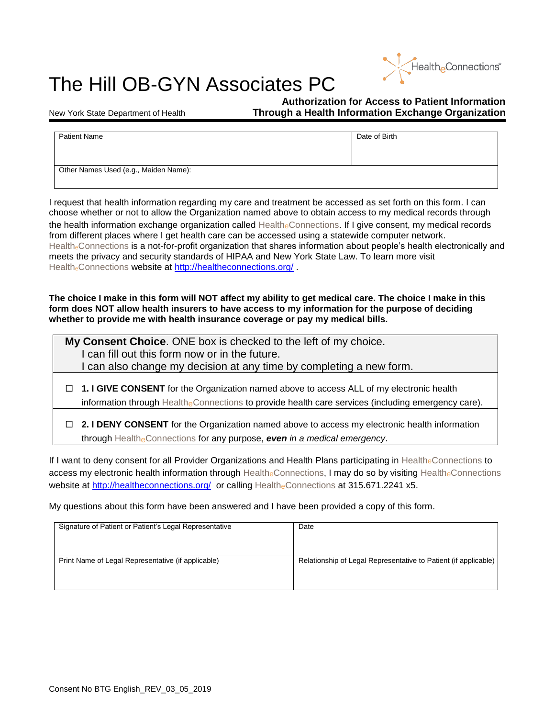

## The Hill OB-GYN Associates PC

**Authorization for Access to Patient Information** New York State Department of Health **Through a Health Information Exchange Organization**

| <b>Patient Name</b>                   | Date of Birth |  |
|---------------------------------------|---------------|--|
|                                       |               |  |
|                                       |               |  |
| Other Names Used (e.g., Maiden Name): |               |  |

I request that health information regarding my care and treatment be accessed as set forth on this form. I can choose whether or not to allow the Organization named above to obtain access to my medical records through the health information exchange organization called HealtheConnections. If I give consent, my medical records from different places where I get health care can be accessed using a statewide computer network. Health<sub>e</sub>Connections is a not-for-profit organization that shares information about people's health electronically and meets the privacy and security standards of HIPAA and New York State Law. To learn more visit Health<sub>e</sub>Connections website at<http://healtheconnections.org/>.

**The choice I make in this form will NOT affect my ability to get medical care. The choice I make in this form does NOT allow health insurers to have access to my information for the purpose of deciding whether to provide me with health insurance coverage or pay my medical bills.**

| My Consent Choice. ONE box is checked to the left of my choice.<br>I can fill out this form now or in the future.                                                                                      |  |
|--------------------------------------------------------------------------------------------------------------------------------------------------------------------------------------------------------|--|
| I can also change my decision at any time by completing a new form.                                                                                                                                    |  |
| $\Box$ 1. I GIVE CONSENT for the Organization named above to access ALL of my electronic health<br>information through Healthe Connections to provide health care services (including emergency care). |  |
| $\Box$ 2. I DENY CONSENT for the Organization named above to access my electronic health information<br>through Healthe Connections for any purpose, even in a medical emergency.                      |  |

If I want to deny consent for all Provider Organizations and Health Plans participating in HealtheConnections to access my electronic health information through HealtheConnections, I may do so by visiting HealtheConnections website at<http://healtheconnections.org/> or calling HealtheConnections at 315.671.2241 x5.

My questions about this form have been answered and I have been provided a copy of this form.

| Signature of Patient or Patient's Legal Representative | Date                                                            |
|--------------------------------------------------------|-----------------------------------------------------------------|
| Print Name of Legal Representative (if applicable)     | Relationship of Legal Representative to Patient (if applicable) |
|                                                        |                                                                 |